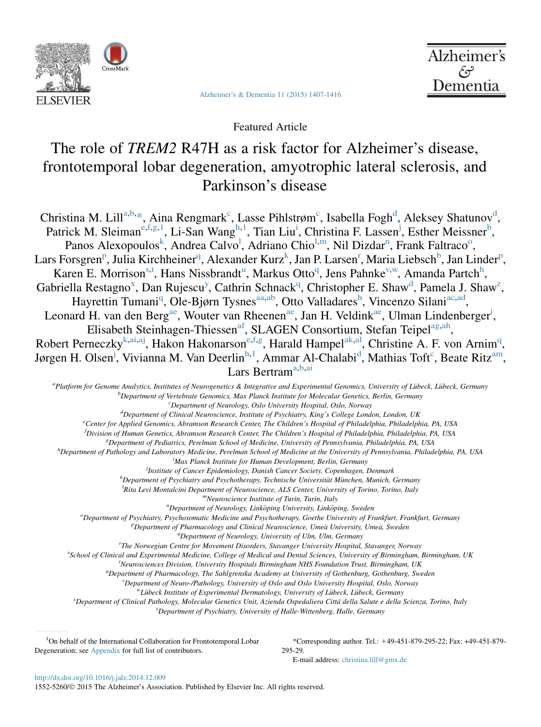

[Alzheimer's & Dementia 11 \(2015\) 1407-1416](http://dx.doi.org/10.1016/j.jalz.2014.12.009)



Featured Article

# The role of TREM2 R47H as a risk factor for Alzheimer's disease, frontotemporal lobar degeneration, amyotrophic lateral sclerosis, and Parkinson's disease

Christina M. Lill<sup>a,b,\*</sup>, Aina Rengmark<sup>c</sup>, Lasse Pihlstrøm<sup>c</sup>, Isabella Fogh<sup>d</sup>, Aleksey Shatunov<sup>d</sup>, Patrick M. Sleiman<sup>e, f,g, 1</sup>, Li-San Wang<sup>h, 1</sup>, Tian Liu<sup>i</sup>, Christina F. Lassen<sup>j</sup>, Esther Meissner<sup>b</sup>, Panos Alexopoulos<sup>k</sup>, Andrea Calvo<sup>l</sup>, Adriano Chio<sup>l,m</sup>, Nil Dizdar<sup>n</sup>, Frank Faltraco<sup>o</sup>, Lars Forsgren<sup>p</sup>, Julia Kirchheiner<sup>q</sup>, Alexander Kurz<sup>k</sup>, Jan P. Larsen<sup>r</sup>, Maria Liebsch<sup>b</sup>, Jan Linder<sup>p</sup>, Karen E. Morrison<sup>s,t</sup>, Hans Nissbrandt<sup>u</sup>, Markus Otto<sup>q</sup>, Jens Pahnke<sup>v,w</sup>, Amanda Partch<sup>h</sup>, Gabriella Restagno<sup>x</sup>, Dan Rujescu<sup>y</sup>, Cathrin Schnack<sup>q</sup>, Christopher E. Shaw<sup>d</sup>, Pamela J. Shaw<sup>[z](#page-1-0)</sup>, Hayrettin Tumani<sup>q</sup>, Ole-Bjørn Tysnes<sup>[aa,ab](#page-1-0)</sup>, Otto Valladares<sup>h</sup>, Vincenzo Silani<sup>[ac,ad](#page-1-0)</sup>, Leonard H. van den Berg<sup>ae</sup>, Wouter van Rheenen<sup>ae</sup>, Jan H. Veldink<sup>ae</sup>, Ulman Lindenberger<sup>i</sup>, Elisabeth Steinhagen-Thiessen<sup>af</sup>, SLAGEN Consortium, Stefan Teipel<sup>ag, ah</sup>, Robert Perneczky<sup>k[,ai](#page-1-0),aj</sup>, H[ak](#page-1-0)on Hakonarson<sup>e, f,g</sup>, Harald Hampel<sup>ak, al</sup>, Christine A. F. von Arnim<sup>q</sup>, Jørgen H. Olsen<sup>j</sup>, Vivianna M. Van Deerlin<sup>h, 1</sup>, Ammar Al-Chalabi<sup>d</sup>, Mathias Toft<sup>c</sup>, Beate Ritz<sup>am</sup>, Lars Bertram<sup>a,b[,ai](#page-1-0)</sup>

a<br>Platform for Genome Analytics, Institutes of Neurogenetics & Integrative and Experimental Genomics, University of Lübeck, Lübeck, Germany<br><sup>b</sup> Denastment of Vertebrate Genomics, Max Planek Institute for Molecular Genetics <sup>b</sup>Department of Vertebrate Genomics, Max Planck Institute for Molecular Genetics, Berlin, Germany  ${}^c$ Department of Neurology, Oslo University Hospital, Oslo, Norway  ${}^{d}$ Department of Clinical Neuroscience, Institute of Psychiatry, King's College London, London, UK Center for Applied Genomics, Abramson Research Center, The Children's Hospital of Philadelphia, Philadelphia, PA, USA

f Division of Human Genetics, Abramson Research Center, The Children's Hospital of Philadelphia, Philadelphia, PA, USA <sup>g</sup> Department of Pediatrics, Perelman School of Medicine, University of Pennsylvania, Philadelphia, PA, USA <sup>h</sup>

<sup>h</sup>Department of Pathology and Laboratory Medicine, Perelman School of Medicine at the University of Pennsylvania, Philadelphia, PA, USA

Max Planck Institute for Human Development, Berlin, Germany

<sup>j</sup>Institute of Cancer Epidemiology, Danish Cancer Society, Copenhagen, Denmark<br>KDanartmant of Psychiatry and Psychotherapy, Technische Universität München, Munich

 $k$ Department of Psychiatry and Psychotherapy, Technische Universität München, Munich, Germany

<sup>1</sup>Rita Levi Montalcini Department of Neuroscience, ALS Center, University of Torino, Torino, Italy m<br>Neuroscience Institute of Turin, Turin, Italy

n<br>Department of Neurology, Linköping University, Linköping, Sweden"<br>Coethe University of Favehigtny, Pruchaeomatic Medicine and Pruchatheaamy Coethe University of Fa

 $^o$ Department of Psychiatry, Psychosomatic Medicine and Psychotherapy, Goethe University of Frankfurt, Frankfurt, Germany

Department of Pharmacology and Clinical Neuroscience, Umeå University, Umeå, Sweden

que department of Neurology, University of Ulm, Ulm, Germany<br>The Norwegian Centre for Movement Disorders, Stevenger University Hospital

The Norwegian Centre for Movement Disorders, Stavanger University Hospital, Stavanger, Norway <sup>s</sup>

School of Clinical and Experimental Medicine, College of Medical and Dental Sciences, University of Birmingham, Birmingham, UK <sup>t</sup>

Neurosciences Division, University Hospitals Birmingham NHS Foundation Trust, Birmingham, UK

"Department of Pharmacology, The Sahlgrenska Academy at University of Gothenburg, Gothenburg, Sweden<br>"Department of Nauro (Bathology, University of Oslo and Oslo University Hospital Oslo, Namyon

<sup>V</sup>Department of Neuro-/Pathology, University of Oslo and Oslo University Hospital, Oslo, Norway <sup>w</sup>Lübeck Institute of Experimental Dermatology, University of Lübeck, Lübeck, Germany

<sup>x</sup> Department of Clinical Pathology, Molecular Genetics Unit, Azienda Ospedaliera Città della Salute e della Scienza, Torino, Italy

<sup>y</sup> Department of Psychiatry, University of Halle-Wittenberg, Halle, Germany

<sup>1</sup>On behalf of the International Collaboration for Frontotemporal Lobar Degeneration; see Appendix for full list of contributors.

\*Corresponding author. Tel.: 149-451-879-295-22; Fax: +49-451-879- 295-29.

E-mail address: [christina.lill@gmx.de](mailto:christina.lill@gmx.de)

<http://dx.doi.org/10.1016/j.jalz.2014.12.009>

1552-5260/© 2015 The Alzheimer's Association. Published by Elsevier Inc. All rights reserved.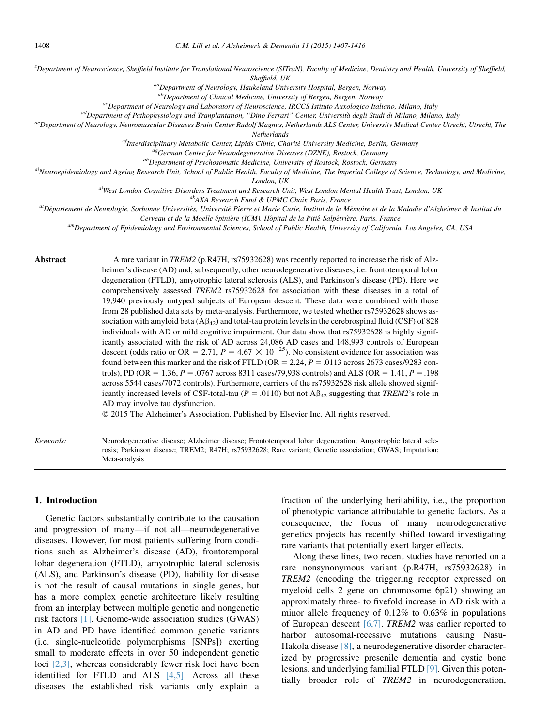<span id="page-1-0"></span>z Department of Neuroscience, Sheffield Institute for Translational Neuroscience (SITraN), Faculty of Medicine, Dentistry and Health, University of Sheffield,

Sheffield, UK<br><sup>aa</sup>Department of Neurology, Haukeland University Hospital, Bergen, Norway<br><sup>ab</sup>Department of Clinical Medicine, University of Bergen, Bergen, Norway

 $\alpha c$ Department of Neurology and Laboratory of Neuroscience, IRCCS Istituto Auxologico Italiano, Milano, Italy

<sup>ad</sup>Department of Pathophysiology and Tranplantation, "Dino Ferrari" Center, Università degli Studi di Milano, Milano, Italy<br><sup>ae</sup>Department of Neurology, Neuromuscular Diseases Brain Center Rudolf Magnus, Netherlands ALS C

Netherlands

<sup>af</sup>Interdisciplinary Metabolic Center, Lipids Clinic, Charité University Medicine, Berlin, Germany<br><sup>ag</sup>German Center for Neurodegenerative Diseases (DZNE), Rostock, Germany<br><sup>ah</sup>Department of Psychosomatic Medicine, Univer

London, UK

<sup>aj</sup>West London Cognitive Disorders Treatment and Research Unit, West London Mental Health Trust, London, UK<br>AXA Research Fund & UPMC Chair, Paris, France<br>Département de Neurologie, Sorbonne Universités, Université Pierre

Cerveau et de la Moelle épinière (ICM), Hôpital de la Pitié-Salpétrière, Paris, France Cerveau et de la Moelle épinière<br><sup>am</sup>Department of Epidemiology and Environmental Sciences, School of Public Health, University of Cali

rosis; Parkinson disease; TREM2; R47H; rs75932628; Rare variant; Genetic association; GWAS; Imputation;

| Abstract  | A rare variant in TREM2 (p.R47H, rs75932628) was recently reported to increase the risk of Alz-<br>heimer's disease (AD) and, subsequently, other neurodegenerative diseases, i.e. frontotemporal lobar<br>degeneration (FTLD), amyotrophic lateral sclerosis (ALS), and Parkinson's disease (PD). Here we<br>comprehensively assessed TREM2 rs75932628 for association with these diseases in a total of<br>19,940 previously untyped subjects of European descent. These data were combined with those<br>from 28 published data sets by meta-analysis. Furthermore, we tested whether rs75932628 shows as-<br>sociation with amyloid beta $(A\beta_{42})$ and total-tau protein levels in the cerebrospinal fluid (CSF) of 828<br>individuals with AD or mild cognitive impairment. Our data show that rs75932628 is highly signif-<br>icantly associated with the risk of AD across 24,086 AD cases and 148,993 controls of European<br>descent (odds ratio or OR = 2.71, $P = 4.67 \times 10^{-25}$ ). No consistent evidence for association was<br>found between this marker and the risk of FTLD (OR = 2.24, $P = 0.0113$ across 2673 cases/9283 con-<br>trols), PD (OR = 1.36, P = .0767 across 8311 cases/79.938 controls) and ALS (OR = 1.41, P = .198<br>across 5544 cases/7072 controls). Furthermore, carriers of the rs75932628 risk allele showed signif-<br>icantly increased levels of CSF-total-tau ( $P = .0110$ ) but not $A\beta_{42}$ suggesting that TREM2's role in<br>AD may involve tau dysfunction.<br>© 2015 The Alzheimer's Association. Published by Elsevier Inc. All rights reserved. |
|-----------|------------------------------------------------------------------------------------------------------------------------------------------------------------------------------------------------------------------------------------------------------------------------------------------------------------------------------------------------------------------------------------------------------------------------------------------------------------------------------------------------------------------------------------------------------------------------------------------------------------------------------------------------------------------------------------------------------------------------------------------------------------------------------------------------------------------------------------------------------------------------------------------------------------------------------------------------------------------------------------------------------------------------------------------------------------------------------------------------------------------------------------------------------------------------------------------------------------------------------------------------------------------------------------------------------------------------------------------------------------------------------------------------------------------------------------------------------------------------------------------------------------------------------------------------------------------------------------------------------------------------|
| Keywords: | Neurodegenerative disease; Alzheimer disease; Frontotemporal lobar degeneration; Amyotrophic lateral scle-                                                                                                                                                                                                                                                                                                                                                                                                                                                                                                                                                                                                                                                                                                                                                                                                                                                                                                                                                                                                                                                                                                                                                                                                                                                                                                                                                                                                                                                                                                             |

1. Introduction

Genetic factors substantially contribute to the causation and progression of many—if not all—neurodegenerative diseases. However, for most patients suffering from conditions such as Alzheimer's disease (AD), frontotemporal lobar degeneration (FTLD), amyotrophic lateral sclerosis (ALS), and Parkinson's disease (PD), liability for disease is not the result of causal mutations in single genes, but has a more complex genetic architecture likely resulting from an interplay between multiple genetic and nongenetic risk factors [\[1\]](#page-8-0). Genome-wide association studies (GWAS) in AD and PD have identified common genetic variants (i.e. single-nucleotide polymorphisms [SNPs]) exerting small to moderate effects in over 50 independent genetic loci [\[2,3\],](#page-8-0) whereas considerably fewer risk loci have been identified for FTLD and ALS [\[4,5\].](#page-8-0) Across all these diseases the established risk variants only explain a

Meta-analysis

fraction of the underlying heritability, i.e., the proportion of phenotypic variance attributable to genetic factors. As a consequence, the focus of many neurodegenerative genetics projects has recently shifted toward investigating rare variants that potentially exert larger effects.

Along these lines, two recent studies have reported on a rare nonsynonymous variant (p.R47H, rs75932628) in TREM2 (encoding the triggering receptor expressed on myeloid cells 2 gene on chromosome 6p21) showing an approximately three- to fivefold increase in AD risk with a minor allele frequency of 0.12% to 0.63% in populations of European descent [\[6,7\]](#page-9-0). TREM2 was earlier reported to harbor autosomal-recessive mutations causing Nasu-Hakola disease [\[8\],](#page-9-0) a neurodegenerative disorder characterized by progressive presenile dementia and cystic bone lesions, and underlying familial FTLD [\[9\]](#page-9-0). Given this potentially broader role of TREM2 in neurodegeneration,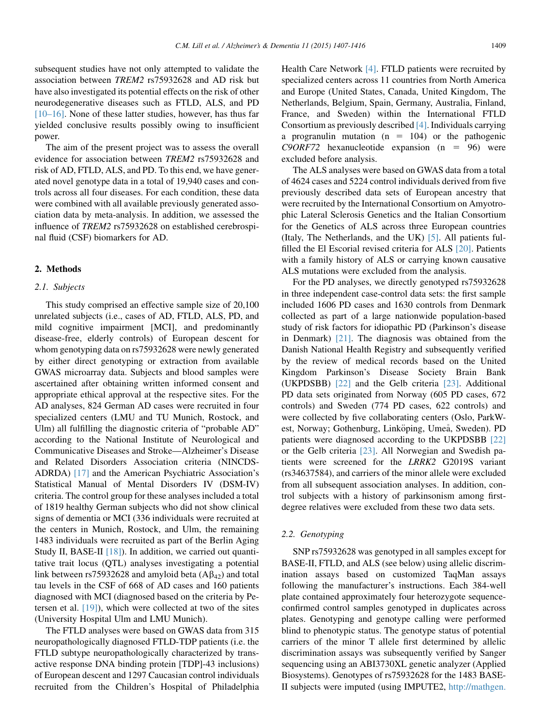subsequent studies have not only attempted to validate the association between TREM2 rs75932628 and AD risk but have also investigated its potential effects on the risk of other neurodegenerative diseases such as FTLD, ALS, and PD [\[10–16\].](#page-9-0) None of these latter studies, however, has thus far yielded conclusive results possibly owing to insufficient power.

The aim of the present project was to assess the overall evidence for association between TREM2 rs75932628 and risk of AD, FTLD, ALS, and PD. To this end, we have generated novel genotype data in a total of 19,940 cases and controls across all four diseases. For each condition, these data were combined with all available previously generated association data by meta-analysis. In addition, we assessed the influence of TREM2 rs75932628 on established cerebrospinal fluid (CSF) biomarkers for AD.

## 2. Methods

## 2.1. Subjects

This study comprised an effective sample size of 20,100 unrelated subjects (i.e., cases of AD, FTLD, ALS, PD, and mild cognitive impairment [MCI], and predominantly disease-free, elderly controls) of European descent for whom genotyping data on rs75932628 were newly generated by either direct genotyping or extraction from available GWAS microarray data. Subjects and blood samples were ascertained after obtaining written informed consent and appropriate ethical approval at the respective sites. For the AD analyses, 824 German AD cases were recruited in four specialized centers (LMU and TU Munich, Rostock, and Ulm) all fulfilling the diagnostic criteria of "probable AD" according to the National Institute of Neurological and Communicative Diseases and Stroke—Alzheimer's Disease and Related Disorders Association criteria (NINCDS-ADRDA) [\[17\]](#page-9-0) and the American Psychiatric Association's Statistical Manual of Mental Disorders IV (DSM-IV) criteria. The control group for these analyses included a total of 1819 healthy German subjects who did not show clinical signs of dementia or MCI (336 individuals were recruited at the centers in Munich, Rostock, and Ulm, the remaining 1483 individuals were recruited as part of the Berlin Aging Study II, BASE-II [\[18\]](#page-9-0)). In addition, we carried out quantitative trait locus (QTL) analyses investigating a potential link between rs75932628 and amyloid beta  $(A\beta_{42})$  and total tau levels in the CSF of 668 of AD cases and 160 patients diagnosed with MCI (diagnosed based on the criteria by Petersen et al. [\[19\]](#page-9-0)), which were collected at two of the sites (University Hospital Ulm and LMU Munich).

The FTLD analyses were based on GWAS data from 315 neuropathologically diagnosed FTLD-TDP patients (i.e. the FTLD subtype neuropathologically characterized by transactive response DNA binding protein [TDP]-43 inclusions) of European descent and 1297 Caucasian control individuals recruited from the Children's Hospital of Philadelphia Health Care Network [\[4\].](#page-8-0) FTLD patients were recruited by specialized centers across 11 countries from North America and Europe (United States, Canada, United Kingdom, The Netherlands, Belgium, Spain, Germany, Australia, Finland, France, and Sweden) within the International FTLD Consortium as previously described [\[4\].](#page-8-0) Individuals carrying a progranulin mutation  $(n = 104)$  or the pathogenic  $C9ORF72$  hexanucleotide expansion (n = 96) were excluded before analysis.

The ALS analyses were based on GWAS data from a total of 4624 cases and 5224 control individuals derived from five previously described data sets of European ancestry that were recruited by the International Consortium on Amyotrophic Lateral Sclerosis Genetics and the Italian Consortium for the Genetics of ALS across three European countries (Italy, The Netherlands, and the UK) [\[5\]](#page-9-0). All patients fulfilled the El Escorial revised criteria for ALS [\[20\]](#page-9-0). Patients with a family history of ALS or carrying known causative ALS mutations were excluded from the analysis.

For the PD analyses, we directly genotyped rs75932628 in three independent case-control data sets: the first sample included 1606 PD cases and 1630 controls from Denmark collected as part of a large nationwide population-based study of risk factors for idiopathic PD (Parkinson's disease in Denmark) [\[21\]](#page-9-0). The diagnosis was obtained from the Danish National Health Registry and subsequently verified by the review of medical records based on the United Kingdom Parkinson's Disease Society Brain Bank (UKPDSBB) [\[22\]](#page-9-0) and the Gelb criteria [\[23\].](#page-9-0) Additional PD data sets originated from Norway (605 PD cases, 672 controls) and Sweden (774 PD cases, 622 controls) and were collected by five collaborating centers (Oslo, ParkWest, Norway; Gothenburg, Linköping, Umeå, Sweden). PD patients were diagnosed according to the UKPDSBB [\[22\]](#page-9-0) or the Gelb criteria [\[23\].](#page-9-0) All Norwegian and Swedish patients were screened for the LRRK2 G2019S variant (rs34637584), and carriers of the minor allele were excluded from all subsequent association analyses. In addition, control subjects with a history of parkinsonism among firstdegree relatives were excluded from these two data sets.

#### 2.2. Genotyping

SNP rs75932628 was genotyped in all samples except for BASE-II, FTLD, and ALS (see below) using allelic discrimination assays based on customized TaqMan assays following the manufacturer's instructions. Each 384-well plate contained approximately four heterozygote sequenceconfirmed control samples genotyped in duplicates across plates. Genotyping and genotype calling were performed blind to phenotypic status. The genotype status of potential carriers of the minor T allele first determined by allelic discrimination assays was subsequently verified by Sanger sequencing using an ABI3730XL genetic analyzer (Applied Biosystems). Genotypes of rs75932628 for the 1483 BASE-II subjects were imputed (using IMPUTE2, [http://mathgen.](http://mathgen.stats.ox.ac.uk/impute/impute_v2.html)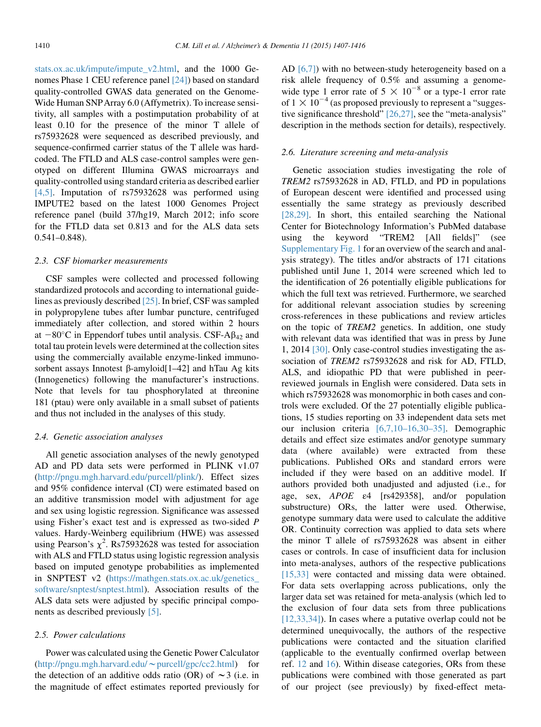[stats.ox.ac.uk/impute/impute\\_v2.html](http://mathgen.stats.ox.ac.uk/impute/impute_v2.html), and the 1000 Genomes Phase 1 CEU reference panel [\[24\]\)](#page-9-0) based on standard quality-controlled GWAS data generated on the Genome-Wide Human SNPArray 6.0 (Affymetrix). To increase sensitivity, all samples with a postimputation probability of at least 0.10 for the presence of the minor T allele of rs75932628 were sequenced as described previously, and sequence-confirmed carrier status of the T allele was hardcoded. The FTLD and ALS case-control samples were genotyped on different Illumina GWAS microarrays and quality-controlled using standard criteria as described earlier [\[4,5\]](#page-8-0). Imputation of rs75932628 was performed using IMPUTE2 based on the latest 1000 Genomes Project reference panel (build 37/hg19, March 2012; info score for the FTLD data set 0.813 and for the ALS data sets 0.541–0.848).

#### 2.3. CSF biomarker measurements

CSF samples were collected and processed following standardized protocols and according to international guidelines as previously described [\[25\]](#page-9-0). In brief, CSF was sampled in polypropylene tubes after lumbar puncture, centrifuged immediately after collection, and stored within 2 hours at  $-80^{\circ}$ C in Eppendorf tubes until analysis. CSF-A $\beta_{42}$  and total tau protein levels were determined at the collection sites using the commercially available enzyme-linked immunosorbent assays Innotest  $\beta$ -amyloid $[1-42]$  and hTau Ag kits (Innogenetics) following the manufacturer's instructions. Note that levels for tau phosphorylated at threonine 181 (ptau) were only available in a small subset of patients and thus not included in the analyses of this study.

## 2.4. Genetic association analyses

All genetic association analyses of the newly genotyped AD and PD data sets were performed in PLINK v1.07 [\(http://pngu.mgh.harvard.edu/purcell/plink/](http://pngu.mgh.harvard.edu/purcell/plink/)). Effect sizes and 95% confidence interval (CI) were estimated based on an additive transmission model with adjustment for age and sex using logistic regression. Significance was assessed using Fisher's exact test and is expressed as two-sided P values. Hardy-Weinberg equilibrium (HWE) was assessed using Pearson's  $\chi^2$ . Rs75932628 was tested for association with ALS and FTLD status using logistic regression analysis based on imputed genotype probabilities as implemented in SNPTEST v2 [\(https://mathgen.stats.ox.ac.uk/genetics\\_](https://mathgen.stats.ox.ac.uk/genetics_software/snptest/snptest.html) [software/snptest/snptest.html](https://mathgen.stats.ox.ac.uk/genetics_software/snptest/snptest.html)). Association results of the ALS data sets were adjusted by specific principal components as described previously [\[5\].](#page-9-0)

## 2.5. Power calculations

Power was calculated using the Genetic Power Calculator  $(http://pngu.mgh.harvard.edu/~purell/gpc/cc2.html)$  $(http://pngu.mgh.harvard.edu/~purell/gpc/cc2.html)$  for the detection of an additive odds ratio (OR) of  $\sim$ 3 (i.e. in the magnitude of effect estimates reported previously for AD  $[6,7]$ ) with no between-study heterogeneity based on a risk allele frequency of 0.5% and assuming a genomewide type 1 error rate of  $5 \times 10^{-8}$  or a type-1 error rate of  $1 \times 10^{-4}$  (as proposed previously to represent a "suggestive significance threshold" [\[26,27\]](#page-9-0), see the "meta-analysis" description in the methods section for details), respectively.

## 2.6. Literature screening and meta-analysis

Genetic association studies investigating the role of TREM2 rs75932628 in AD, FTLD, and PD in populations of European descent were identified and processed using essentially the same strategy as previously described [\[28,29\]](#page-9-0). In short, this entailed searching the National Center for Biotechnology Information's PubMed database using the keyword "TREM2 [All fields]" (see Supplementary Fig. 1 for an overview of the search and analysis strategy). The titles and/or abstracts of 171 citations published until June 1, 2014 were screened which led to the identification of 26 potentially eligible publications for which the full text was retrieved. Furthermore, we searched for additional relevant association studies by screening cross-references in these publications and review articles on the topic of TREM2 genetics. In addition, one study with relevant data was identified that was in press by June 1, 2014 [\[30\]](#page-9-0). Only case-control studies investigating the association of TREM2 rs75932628 and risk for AD, FTLD, ALS, and idiopathic PD that were published in peerreviewed journals in English were considered. Data sets in which rs75932628 was monomorphic in both cases and controls were excluded. Of the 27 potentially eligible publications, 15 studies reporting on 33 independent data sets met our inclusion criteria [\[6,7,10–16,30–35\].](#page-9-0) Demographic details and effect size estimates and/or genotype summary data (where available) were extracted from these publications. Published ORs and standard errors were included if they were based on an additive model. If authors provided both unadjusted and adjusted (i.e., for age, sex, APOE ε4 [rs429358], and/or population substructure) ORs, the latter were used. Otherwise, genotype summary data were used to calculate the additive OR. Continuity correction was applied to data sets where the minor T allele of rs75932628 was absent in either cases or controls. In case of insufficient data for inclusion into meta-analyses, authors of the respective publications [\[15,33\]](#page-9-0) were contacted and missing data were obtained. For data sets overlapping across publications, only the larger data set was retained for meta-analysis (which led to the exclusion of four data sets from three publications [\[12,33,34\]\)](#page-9-0). In cases where a putative overlap could not be determined unequivocally, the authors of the respective publications were contacted and the situation clarified (applicable to the eventually confirmed overlap between ref. [12](#page-9-0) and [16](#page-9-0)). Within disease categories, ORs from these publications were combined with those generated as part of our project (see previously) by fixed-effect meta-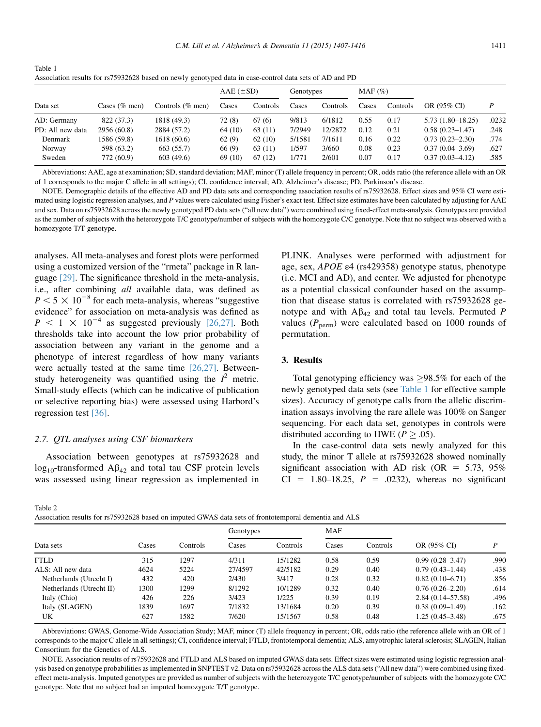<span id="page-4-0"></span>

| Table 1                                                                                                 |
|---------------------------------------------------------------------------------------------------------|
| Association results for rs75932628 based on newly genotyped data in case-control data sets of AD and PD |

|                  |                  |                     | $AAE$ ( $\pm SD$ ) |          | Genotypes |          | $MAF(\%)$ |          |                      |       |
|------------------|------------------|---------------------|--------------------|----------|-----------|----------|-----------|----------|----------------------|-------|
| Data set         | Cases $(\%$ men) | Controls $(\%$ men) | Cases              | Controls | Cases     | Controls | Cases     | Controls | OR (95% CI)          | P     |
| AD: Germany      | 822 (37.3)       | 1818 (49.3)         | 72(8)              | 67(6)    | 9/813     | 6/1812   | 0.55      | 0.17     | $5.73(1.80 - 18.25)$ | .0232 |
| PD: All new data | 2956 (60.8)      | 2884 (57.2)         | 64 (10)            | 63 (11)  | 7/2949    | 12/2872  | 0.12      | 0.21     | $0.58(0.23 - 1.47)$  | .248  |
| Denmark          | 1586 (59.8)      | 1618(60.6)          | 62(9)              | 62(10)   | 5/1581    | 7/1611   | 0.16      | 0.22     | $0.73(0.23 - 2.30)$  | .774  |
| Norway           | 598 (63.2)       | 663 (55.7)          | 66(9)              | 63 (11)  | 1/597     | 3/660    | 0.08      | 0.23     | $0.37(0.04 - 3.69)$  | .627  |
| Sweden           | 772 (60.9)       | 603(49.6)           | 69 (10)            | 67(12)   | 1/771     | 2/601    | 0.07      | 0.17     | $0.37(0.03 - 4.12)$  | .585  |

Abbreviations: AAE, age at examination; SD, standard deviation; MAF, minor (T) allele frequency in percent; OR, odds ratio (the reference allele with an OR of 1 corresponds to the major C allele in all settings); CI, confidence interval; AD, Alzheimer's disease; PD, Parkinson's disease.

NOTE. Demographic details of the effective AD and PD data sets and corresponding association results of rs75932628. Effect sizes and 95% CI were estimated using logistic regression analyses, and P values were calculated using Fisher's exact test. Effect size estimates have been calculated by adjusting for AAE and sex. Data on rs75932628 across the newly genotyped PD data sets ("all new data") were combined using fixed-effect meta-analysis. Genotypes are provided as the number of subjects with the heterozygote T/C genotype/number of subjects with the homozygote C/C genotype. Note that no subject was observed with a homozygote T/T genotype.

analyses. All meta-analyses and forest plots were performed using a customized version of the "rmeta" package in R language [\[29\]](#page-9-0). The significance threshold in the meta-analysis, i.e., after combining all available data, was defined as  $P \le 5 \times 10^{-8}$  for each meta-analysis, whereas "suggestive" evidence" for association on meta-analysis was defined as  $P \le 1 \times 10^{-4}$  as suggested previously [\[26,27\].](#page-9-0) Both thresholds take into account the low prior probability of association between any variant in the genome and a phenotype of interest regardless of how many variants were actually tested at the same time [\[26,27\].](#page-9-0) Betweenstudy heterogeneity was quantified using the  $I^2$  metric. Small-study effects (which can be indicative of publication or selective reporting bias) were assessed using Harbord's regression test [\[36\]](#page-9-0).

## 2.7. QTL analyses using CSF biomarkers

Association between genotypes at rs75932628 and  $\log_{10}$ -transformed  $\text{A}\beta_{42}$  and total tau CSF protein levels was assessed using linear regression as implemented in PLINK. Analyses were performed with adjustment for age, sex, APOE ε4 (rs429358) genotype status, phenotype (i.e. MCI and AD), and center. We adjusted for phenotype as a potential classical confounder based on the assumption that disease status is correlated with rs75932628 genotype and with  $A\beta_{42}$  and total tau levels. Permuted P values ( $P_{\text{perm}}$ ) were calculated based on 1000 rounds of permutation.

#### 3. Results

Total genotyping efficiency was  $\geq 98.5\%$  for each of the newly genotyped data sets (see Table 1 for effective sample sizes). Accuracy of genotype calls from the allelic discrimination assays involving the rare allele was 100% on Sanger sequencing. For each data set, genotypes in controls were distributed according to HWE ( $P \geq .05$ ).

In the case-control data sets newly analyzed for this study, the minor T allele at rs75932628 showed nominally significant association with AD risk (OR =  $5.73$ , 95%  $CI = 1.80-18.25, P = .0232$ , whereas no significant

Table 2

Association results for rs75932628 based on imputed GWAS data sets of frontotemporal dementia and ALS

|                          |       | Controls | Genotypes |          | <b>MAF</b> |          |                      |      |
|--------------------------|-------|----------|-----------|----------|------------|----------|----------------------|------|
| Data sets                | Cases |          | Cases     | Controls | Cases      | Controls | OR (95% CI)          | D    |
| FTLD                     | 315   | 1297     | 4/311     | 15/1282  | 0.58       | 0.59     | $0.99(0.28 - 3.47)$  | .990 |
| ALS: All new data        | 4624  | 5224     | 27/4597   | 42/5182  | 0.29       | 0.40     | $0.79(0.43 - 1.44)$  | .438 |
| Netherlands (Utrecht I)  | 432   | 420      | 2/430     | 3/417    | 0.28       | 0.32     | $0.82(0.10-6.71)$    | .856 |
| Netherlands (Utrecht II) | 1300  | 1299     | 8/1292    | 10/1289  | 0.32       | 0.40     | $0.76(0.26 - 2.20)$  | .614 |
| Italy (Chio)             | 426   | 226      | 3/423     | 1/225    | 0.39       | 0.19     | $2.84(0.14 - 57.58)$ | .496 |
| Italy (SLAGEN)           | 1839  | 1697     | 7/1832    | 13/1684  | 0.20       | 0.39     | $0.38(0.09-1.49)$    | .162 |
| UK                       | 627   | 1582     | 7/620     | 15/1567  | 0.58       | 0.48     | $1.25(0.45-3.48)$    | .675 |
|                          |       |          |           |          |            |          |                      |      |

Abbreviations: GWAS, Genome-Wide Association Study; MAF, minor (T) allele frequency in percent; OR, odds ratio (the reference allele with an OR of 1 corresponds to the major C allele in all settings); CI, confidence interval; FTLD, frontotemporal dementia; ALS, amyotrophic lateral sclerosis; SLAGEN, Italian Consortium for the Genetics of ALS.

NOTE. Association results of rs75932628 and FTLD and ALS based on imputed GWAS data sets. Effect sizes were estimated using logistic regression analysis based on genotype probabilities as implemented in SNPTEST v2. Data on rs75932628 across the ALS data sets ("All new data") were combined using fixedeffect meta-analysis. Imputed genotypes are provided as number of subjects with the heterozygote T/C genotype/number of subjects with the homozygote C/C genotype. Note that no subject had an imputed homozygote T/T genotype.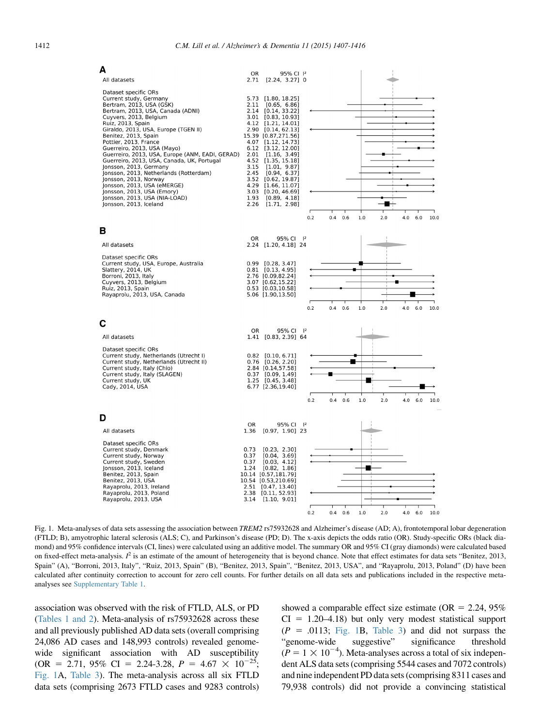<span id="page-5-0"></span>

Fig. 1. Meta-analyses of data sets assessing the association between TREM2 rs75932628 and Alzheimer's disease (AD; A), frontotemporal lobar degeneration (FTLD; B), amyotrophic lateral sclerosis (ALS; C), and Parkinson's disease (PD; D). The x-axis depicts the odds ratio (OR). Study-specific ORs (black diamond) and 95% confidence intervals (CI, lines) were calculated using an additive model. The summary OR and 95% CI (gray diamonds) were calculated based on fixed-effect meta-analysis.  $I^2$  is an estimate of the amount of heterogeneity that is beyond chance. Note that effect estimates for data sets "Benitez, 2013, Spain" (A), "Borroni, 2013, Italy", "Ruiz, 2013, Spain" (B), "Benitez, 2013, Spain", "Benitez, 2013, USA", and "Rayaprolu, 2013, Poland" (D) have been calculated after continuity correction to account for zero cell counts. For further details on all data sets and publications included in the respective metaanalyses see Supplementary Table 1.

association was observed with the risk of FTLD, ALS, or PD [\(Tables 1 and 2\)](#page-4-0). Meta-analysis of rs75932628 across these and all previously published AD data sets (overall comprising 24,086 AD cases and 148,993 controls) revealed genomewide significant association with AD susceptibility  $OR = 2.71, 95\% \text{ CI} = 2.24-3.28, P = 4.67 \times 10^{-25};$ Fig. 1A, [Table 3\)](#page-6-0). The meta-analysis across all six FTLD data sets (comprising 2673 FTLD cases and 9283 controls) showed a comparable effect size estimate ( $OR = 2.24$ , 95%)  $CI = 1.20-4.18$ ) but only very modest statistical support  $(P = .0113; Fig. 1B, Table 3)$  $(P = .0113; Fig. 1B, Table 3)$  $(P = .0113; Fig. 1B, Table 3)$  and did not surpass the "genome-wide suggestive" significance threshold  $(P = 1 \times 10^{-4})$ . Meta-analyses across a total of six independent ALS data sets (comprising 5544 cases and 7072 controls) and nine independent PD data sets (comprising 8311 cases and 79,938 controls) did not provide a convincing statistical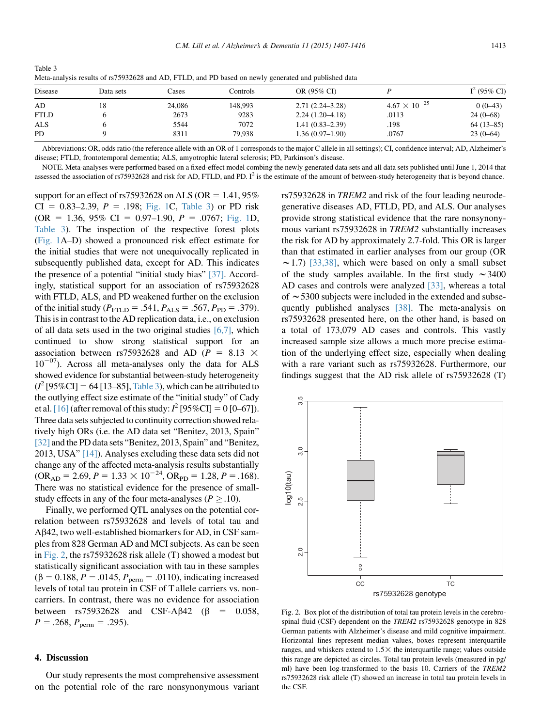<span id="page-6-0"></span>

| Table 3                                                                                              |
|------------------------------------------------------------------------------------------------------|
| Meta-analysis results of rs75932628 and AD, FTLD, and PD based on newly generated and published data |

| Disease     | Data sets | Cases  | Controls | OR (95% CI)         |                        | $I^2$ (95% CI) |  |
|-------------|-----------|--------|----------|---------------------|------------------------|----------------|--|
| AD          | 18        | 24,086 | 148.993  | $2.71(2.24 - 3.28)$ | $4.67 \times 10^{-25}$ | $0(0-43)$      |  |
| <b>FTLD</b> |           | 2673   | 9283     | $2.24(1.20-4.18)$   | .0113                  | $24(0-68)$     |  |
| ALS         |           | 5544   | 7072     | $1.41(0.83 - 2.39)$ | .198                   | $64(13-85)$    |  |
| <b>PD</b>   |           | 8311   | 79.938   | $1.36(0.97-1.90)$   | .0767                  | $23(0-64)$     |  |

Abbreviations: OR, odds ratio (the reference allele with an OR of 1 corresponds to the major C allele in all settings); CI, confidence interval; AD, Alzheimer's disease; FTLD, frontotemporal dementia; ALS, amyotrophic lateral sclerosis; PD, Parkinson's disease.

NOTE. Meta-analyses were performed based on a fixed-effect model combing the newly generated data sets and all data sets published until June 1, 2014 that assessed the association of rs75932628 and risk for AD, FTLD, and PD.  $I^2$  is the estimate of the amount of between-study heterogeneity that is beyond chance.

support for an effect of rs75932628 on ALS (OR  $= 1.41, 95\%$  $CI = 0.83-2.39, P = .198; Fig. 1C, Table 3$  $CI = 0.83-2.39, P = .198; Fig. 1C, Table 3$  $CI = 0.83-2.39, P = .198; Fig. 1C, Table 3$  or PD risk  $OR = 1.36, 95\% \text{ CI} = 0.97-1.90, P = .0767; \text{Fig. 1D},$  $OR = 1.36, 95\% \text{ CI} = 0.97-1.90, P = .0767; \text{Fig. 1D},$  $OR = 1.36, 95\% \text{ CI} = 0.97-1.90, P = .0767; \text{Fig. 1D},$ Table 3). The inspection of the respective forest plots [\(Fig. 1A](#page-5-0)–D) showed a pronounced risk effect estimate for the initial studies that were not unequivocally replicated in subsequently published data, except for AD. This indicates the presence of a potential "initial study bias" [\[37\].](#page-9-0) Accordingly, statistical support for an association of rs75932628 with FTLD, ALS, and PD weakened further on the exclusion of the initial study ( $P_{\text{FTLD}} = .541, P_{\text{ALS}} = .567, P_{\text{PD}} = .379$ ). This is in contrast to the AD replication data, i.e., on exclusion of all data sets used in the two original studies [\[6,7\]](#page-9-0), which continued to show strong statistical support for an association between rs75932628 and AD ( $P = 8.13 \times$  $10^{-07}$ ). Across all meta-analyses only the data for ALS showed evidence for substantial between-study heterogeneity  $(I^2$  [95%CI] = 64 [13–85], Table 3), which can be attributed to the outlying effect size estimate of the "initial study" of Cady et al. [\[16\]](#page-9-0) (after removal of this study:  $I^2$  [95%CI] = 0 [0–67]). Three data sets subjected to continuity correction showed relatively high ORs (i.e. the AD data set "Benitez, 2013, Spain" [\[32\]](#page-9-0) and the PD data sets "Benitez, 2013, Spain" and "Benitez, 2013, USA" [\[14\]\)](#page-9-0). Analyses excluding these data sets did not change any of the affected meta-analysis results substantially  $(OR_{AD} = 2.69, P = 1.33 \times 10^{-24}, OR_{PD} = 1.28, P = .168).$ There was no statistical evidence for the presence of smallstudy effects in any of the four meta-analyses ( $P > .10$ ).

Finally, we performed QTL analyses on the potential correlation between rs75932628 and levels of total tau and Ab42, two well-established biomarkers for AD, in CSF samples from 828 German AD and MCI subjects. As can be seen in Fig. 2, the rs75932628 risk allele (T) showed a modest but statistically significant association with tau in these samples  $(\beta = 0.188, P = .0145, P_{perm} = .0110)$ , indicating increased levels of total tau protein in CSF of T allele carriers vs. noncarriers. In contrast, there was no evidence for association between  $rs75932628$  and  $CSF-A\beta42$  ( $\beta = 0.058$ ,  $P = .268$ ,  $P_{\text{perm}} = .295$ ).

## 4. Discussion

Our study represents the most comprehensive assessment on the potential role of the rare nonsynonymous variant rs75932628 in TREM2 and risk of the four leading neurodegenerative diseases AD, FTLD, PD, and ALS. Our analyses provide strong statistical evidence that the rare nonsynonymous variant rs75932628 in TREM2 substantially increases the risk for AD by approximately 2.7-fold. This OR is larger than that estimated in earlier analyses from our group (OR  $\sim$  1.7) [\[33,38\],](#page-9-0) which were based on only a small subset of the study samples available. In the first study  $\sim$  3400 AD cases and controls were analyzed [\[33\]](#page-9-0), whereas a total of  $\sim$  5300 subjects were included in the extended and subsequently published analyses [\[38\].](#page-9-0) The meta-analysis on rs75932628 presented here, on the other hand, is based on a total of 173,079 AD cases and controls. This vastly increased sample size allows a much more precise estimation of the underlying effect size, especially when dealing with a rare variant such as rs75932628. Furthermore, our findings suggest that the AD risk allele of rs75932628 (T)



Fig. 2. Box plot of the distribution of total tau protein levels in the cerebrospinal fluid (CSF) dependent on the TREM2 rs75932628 genotype in 828 German patients with Alzheimer's disease and mild cognitive impairment. Horizontal lines represent median values, boxes represent interquartile ranges, and whiskers extend to  $1.5 \times$  the interquartile range; values outside this range are depicted as circles. Total tau protein levels (measured in pg/ ml) have been log-transformed to the basis 10. Carriers of the TREM2 rs75932628 risk allele (T) showed an increase in total tau protein levels in the CSF.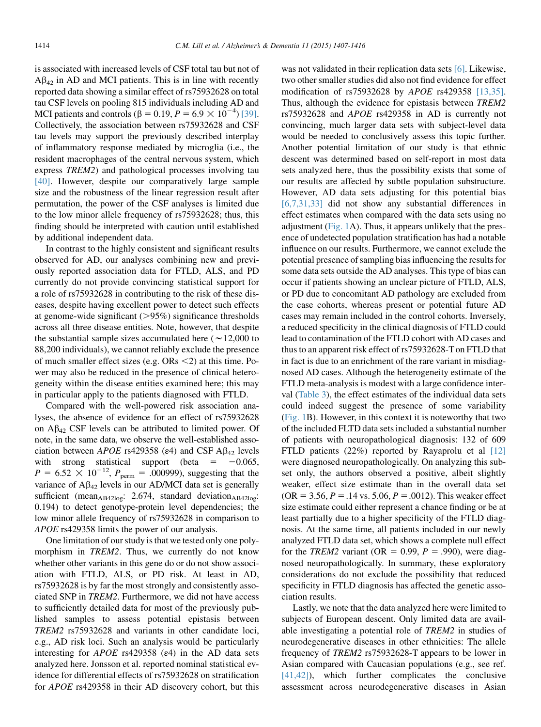is associated with increased levels of CSF total tau but not of  $A\beta_{42}$  in AD and MCI patients. This is in line with recently reported data showing a similar effect of rs75932628 on total tau CSF levels on pooling 815 individuals including AD and MCI patients and controls ( $\beta = 0.19$ ,  $P = 6.9 \times 10^{-4}$ ) [\[39\].](#page-9-0) Collectively, the association between rs75932628 and CSF tau levels may support the previously described interplay of inflammatory response mediated by microglia (i.e., the resident macrophages of the central nervous system, which express TREM2) and pathological processes involving tau [\[40\].](#page-9-0) However, despite our comparatively large sample size and the robustness of the linear regression result after permutation, the power of the CSF analyses is limited due to the low minor allele frequency of rs75932628; thus, this finding should be interpreted with caution until established by additional independent data.

In contrast to the highly consistent and significant results observed for AD, our analyses combining new and previously reported association data for FTLD, ALS, and PD currently do not provide convincing statistical support for a role of rs75932628 in contributing to the risk of these diseases, despite having excellent power to detect such effects at genome-wide significant  $(>\!\!95\%)$  significance thresholds across all three disease entities. Note, however, that despite the substantial sample sizes accumulated here ( $\sim$  12,000 to 88,200 individuals), we cannot reliably exclude the presence of much smaller effect sizes (e.g.  $ORs < 2$ ) at this time. Power may also be reduced in the presence of clinical heterogeneity within the disease entities examined here; this may in particular apply to the patients diagnosed with FTLD.

Compared with the well-powered risk association analyses, the absence of evidence for an effect of rs75932628 on  $A\beta_{42}$  CSF levels can be attributed to limited power. Of note, in the same data, we observe the well-established association between APOE rs429358 ( $\varepsilon$ 4) and CSF A $\beta$ <sub>42</sub> levels with strong statistical support (beta  $= -0.065$ ,  $P = 6.52 \times 10^{-12}$ ,  $P_{\text{perm}} = .000999$ , suggesting that the variance of  $A\beta_{42}$  levels in our AD/MCI data set is generally sufficient (mean<sub>AB42log</sub>: 2.674, standard deviation<sub>AB42log</sub>: 0.194) to detect genotype-protein level dependencies; the low minor allele frequency of rs75932628 in comparison to APOE rs429358 limits the power of our analysis.

One limitation of our study is that we tested only one polymorphism in *TREM2*. Thus, we currently do not know whether other variants in this gene do or do not show association with FTLD, ALS, or PD risk. At least in AD, rs75932628 is by far the most strongly and consistently associated SNP in TREM2. Furthermore, we did not have access to sufficiently detailed data for most of the previously published samples to assess potential epistasis between TREM2 rs75932628 and variants in other candidate loci, e.g., AD risk loci. Such an analysis would be particularly interesting for  $APOE$  rs429358 ( $\varepsilon$ 4) in the AD data sets analyzed here. Jonsson et al. reported nominal statistical evidence for differential effects of rs75932628 on stratification for APOE rs429358 in their AD discovery cohort, but this was not validated in their replication data sets [\[6\]](#page-9-0). Likewise, two other smaller studies did also not find evidence for effect modification of rs75932628 by APOE rs429358 [\[13,35\].](#page-9-0) Thus, although the evidence for epistasis between TREM2 rs75932628 and APOE rs429358 in AD is currently not convincing, much larger data sets with subject-level data would be needed to conclusively assess this topic further. Another potential limitation of our study is that ethnic descent was determined based on self-report in most data sets analyzed here, thus the possibility exists that some of our results are affected by subtle population substructure. However, AD data sets adjusting for this potential bias [\[6,7,31,33\]](#page-9-0) did not show any substantial differences in effect estimates when compared with the data sets using no adjustment [\(Fig. 1](#page-5-0)A). Thus, it appears unlikely that the presence of undetected population stratification has had a notable influence on our results. Furthermore, we cannot exclude the potential presence of sampling bias influencing the results for some data sets outside the AD analyses. This type of bias can occur if patients showing an unclear picture of FTLD, ALS, or PD due to concomitant AD pathology are excluded from the case cohorts, whereas present or potential future AD cases may remain included in the control cohorts. Inversely, a reduced specificity in the clinical diagnosis of FTLD could lead to contamination of the FTLD cohort with AD cases and thus to an apparent risk effect of rs75932628-T on FTLD that in fact is due to an enrichment of the rare variant in misdiagnosed AD cases. Although the heterogeneity estimate of the FTLD meta-analysis is modest with a large confidence interval ([Table 3\)](#page-6-0), the effect estimates of the individual data sets could indeed suggest the presence of some variability [\(Fig. 1B](#page-5-0)). However, in this context it is noteworthy that two of the included FLTD data sets included a substantial number of patients with neuropathological diagnosis: 132 of 609 FTLD patients (22%) reported by Rayaprolu et al [\[12\]](#page-9-0) were diagnosed neuropathologically. On analyzing this subset only, the authors observed a positive, albeit slightly weaker, effect size estimate than in the overall data set  $(OR = 3.56, P = .14 \text{ vs. } 5.06, P = .0012)$ . This weaker effect size estimate could either represent a chance finding or be at least partially due to a higher specificity of the FTLD diagnosis. At the same time, all patients included in our newly analyzed FTLD data set, which shows a complete null effect for the TREM2 variant (OR = 0.99,  $P = .990$ ), were diagnosed neuropathologically. In summary, these exploratory considerations do not exclude the possibility that reduced specificity in FTLD diagnosis has affected the genetic association results.

Lastly, we note that the data analyzed here were limited to subjects of European descent. Only limited data are available investigating a potential role of TREM2 in studies of neurodegenerative diseases in other ethnicities: The allele frequency of TREM2 rs75932628-T appears to be lower in Asian compared with Caucasian populations (e.g., see ref. [\[41,42\]](#page-9-0)), which further complicates the conclusive assessment across neurodegenerative diseases in Asian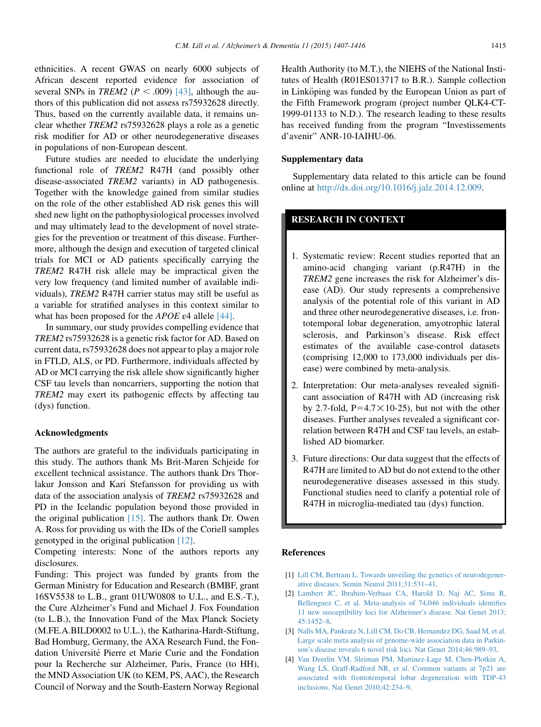<span id="page-8-0"></span>ethnicities. A recent GWAS on nearly 6000 subjects of African descent reported evidence for association of several SNPs in *TREM2* ( $P < .009$ ) [\[43\]](#page-9-0), although the authors of this publication did not assess rs75932628 directly. Thus, based on the currently available data, it remains unclear whether TREM2 rs75932628 plays a role as a genetic risk modifier for AD or other neurodegenerative diseases in populations of non-European descent.

Future studies are needed to elucidate the underlying functional role of TREM2 R47H (and possibly other disease-associated TREM2 variants) in AD pathogenesis. Together with the knowledge gained from similar studies on the role of the other established AD risk genes this will shed new light on the pathophysiological processes involved and may ultimately lead to the development of novel strategies for the prevention or treatment of this disease. Furthermore, although the design and execution of targeted clinical trials for MCI or AD patients specifically carrying the TREM2 R47H risk allele may be impractical given the very low frequency (and limited number of available individuals), TREM2 R47H carrier status may still be useful as a variable for stratified analyses in this context similar to what has been proposed for the *APOE*  $\varepsilon$ 4 allele [\[44\].](#page-9-0)

In summary, our study provides compelling evidence that TREM2 rs75932628 is a genetic risk factor for AD. Based on current data, rs75932628 does not appear to play a major role in FTLD, ALS, or PD. Furthermore, individuals affected by AD or MCI carrying the risk allele show significantly higher CSF tau levels than noncarriers, supporting the notion that TREM2 may exert its pathogenic effects by affecting tau (dys) function.

#### Acknowledgments

The authors are grateful to the individuals participating in this study. The authors thank Ms Brit-Maren Schjeide for excellent technical assistance. The authors thank Drs Thorlakur Jonsson and Kari Stefansson for providing us with data of the association analysis of TREM2 rs75932628 and PD in the Icelandic population beyond those provided in the original publication [\[15\].](#page-9-0) The authors thank Dr. Owen A. Ross for providing us with the IDs of the Coriell samples genotyped in the original publication [\[12\].](#page-9-0)

Competing interests: None of the authors reports any disclosures.

Funding: This project was funded by grants from the German Ministry for Education and Research (BMBF, grant 16SV5538 to L.B., grant 01UW0808 to U.L., and E.S.-T.), the Cure Alzheimer's Fund and Michael J. Fox Foundation (to L.B.), the Innovation Fund of the Max Planck Society (M.FE.A.BILD0002 to U.L.), the Katharina-Hardt-Stiftung, Bad Homburg, Germany, the AXA Research Fund, the Fondation Université Pierre et Marie Curie and the Fondation pour la Recherche sur Alzheimer, Paris, France (to HH), the MND Association UK (to KEM, PS, AAC), the Research Council of Norway and the South-Eastern Norway Regional

Health Authority (to M.T.), the NIEHS of the National Institutes of Health (R01ES013717 to B.R.). Sample collection in Linköping was funded by the European Union as part of the Fifth Framework program (project number QLK4-CT-1999-01133 to N.D.). The research leading to these results has received funding from the program "Investissements d'avenir" ANR-10-IAIHU-06.

#### Supplementary data

Supplementary data related to this article can be found online at <http://dx.doi.org/10.1016/j.jalz.2014.12.009>.

# RESEARCH IN CONTEXT

- 1. Systematic review: Recent studies reported that an amino-acid changing variant (p.R47H) in the TREM2 gene increases the risk for Alzheimer's disease (AD). Our study represents a comprehensive analysis of the potential role of this variant in AD and three other neurodegenerative diseases, i.e. frontotemporal lobar degeneration, amyotrophic lateral sclerosis, and Parkinson's disease. Risk effect estimates of the available case-control datasets (comprising 12,000 to 173,000 individuals per disease) were combined by meta-analysis.
- 2. Interpretation: Our meta-analyses revealed significant association of R47H with AD (increasing risk by 2.7-fold,  $P=4.7 \times 10-25$ ), but not with the other diseases. Further analyses revealed a significant correlation between R47H and CSF tau levels, an established AD biomarker.
- 3. Future directions: Our data suggest that the effects of R47H are limited to AD but do not extend to the other neurodegenerative diseases assessed in this study. Functional studies need to clarify a potential role of R47H in microglia-mediated tau (dys) function.

#### References

- [1] [Lill CM, Bertram L. Towards unveiling the genetics of neurodegener](http://refhub.elsevier.com/S1552-5260(15)00122-3/sref1)[ative diseases. Semin Neurol 2011;31:531–41](http://refhub.elsevier.com/S1552-5260(15)00122-3/sref1).
- [2] [Lambert JC, Ibrahim-Verbaas CA, Harold D, Naj AC, Sims R,](http://refhub.elsevier.com/S1552-5260(15)00122-3/sref2) [Bellenguez C, et al. Meta-analysis of 74,046 individuals identifies](http://refhub.elsevier.com/S1552-5260(15)00122-3/sref2) [11 new susceptibility loci for Alzheimer's disease. Nat Genet 2013;](http://refhub.elsevier.com/S1552-5260(15)00122-3/sref2) [45:1452–8](http://refhub.elsevier.com/S1552-5260(15)00122-3/sref2).
- [3] [Nalls MA, Pankratz N, Lill CM, Do CB, Hernandez DG, Saad M, et al.](http://refhub.elsevier.com/S1552-5260(15)00122-3/sref3a) [Large scale meta analysis of genome-wide association data in Parkin](http://refhub.elsevier.com/S1552-5260(15)00122-3/sref3a)[son's disease reveals 6 novel risk loci. Nat Genet 2014;46:989–93](http://refhub.elsevier.com/S1552-5260(15)00122-3/sref3a).
- [4] [Van Deerlin VM, Sleiman PM, Martinez-Lage M, Chen-Plotkin A,](http://refhub.elsevier.com/S1552-5260(15)00122-3/sref3) [Wang LS, Graff-Radford NR, et al. Common variants at 7p21 are](http://refhub.elsevier.com/S1552-5260(15)00122-3/sref3) [associated with frontotemporal lobar degeneration with TDP-43](http://refhub.elsevier.com/S1552-5260(15)00122-3/sref3) [inclusions. Nat Genet 2010;42:234–9.](http://refhub.elsevier.com/S1552-5260(15)00122-3/sref3)